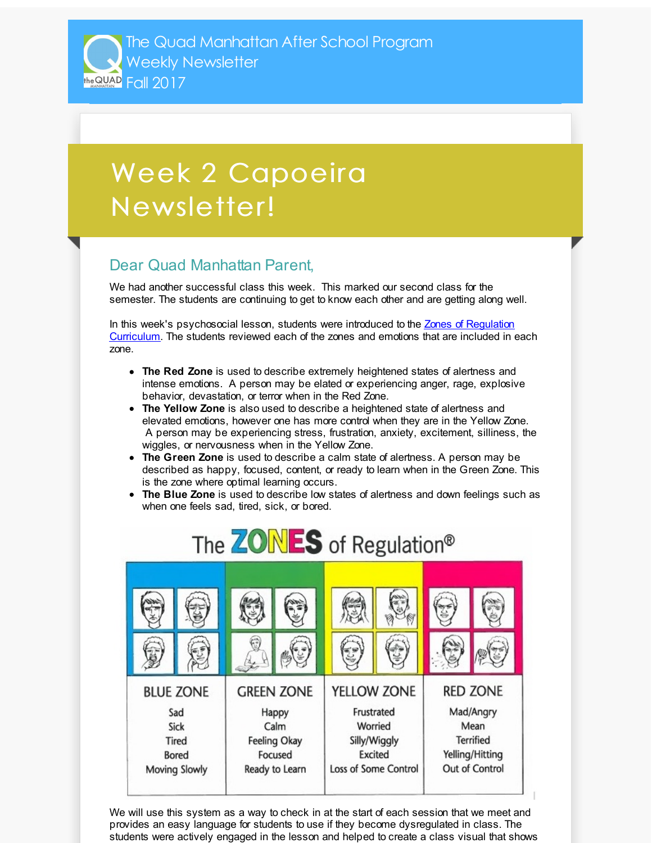The Quad Manhattan After School Program Weekly Newsletter THE QUAD Fall 2017

## Week 2 Capoeira Newsletter!

## Dear Quad Manhattan Parent,

We had another successful class this week. This marked our second class for the semester. The students are continuing to get to know each other and are getting along well.

In this week's [psychosocial](http://r20.rs6.net/tn.jsp?f=001wfF4gF_VldiioTZIpMu5IUQhMWqiM6ryVUAyDGtDH33QCx4wiZjUKMY139DkqBKYNvlBqSssoZw10SSojps1AWF7mFxMeNWS_S7zmJIWVU14rPGtTL2OE3aiXZ5HFc1dtWnm214UiLvmS09fpy4OGAuVzY60yJwK7m8GGdWtYyt0Nobq65umGPkhpCUAqGRcR55QiBNjOKk=&c=&ch=) lesson, students were introduced to the Zones of Regulation Curriculum. The students reviewed each of the zones and emotions that are included in each zone.

- **The Red Zone** is used to describe extremely heightened states of alertness and intense emotions. A person may be elated or experiencing anger, rage, explosive behavior, devastation, or terror when in the Red Zone.
- **The Yellow Zone** is also used to describe a heightened state of alertness and elevated emotions, however one has more control when they are in the Yellow Zone. A person may be experiencing stress, frustration, anxiety, excitement, silliness, the wiggles, or nervousness when in the Yellow Zone.
- **The Green Zone** is used to describe a calm state of alertness. A person may be described as happy, focused, content, or ready to learn when in the Green Zone. This is the zone where optimal learning occurs.
- **The Blue Zone** is used to describe low states of alertness and down feelings such as when one feels sad, tired, sick, or bored.



We will use this system as a way to check in at the start of each session that we meet and provides an easy language for students to use if they become dysregulated in class. The students were actively engaged in the lesson and helped to create a class visual that shows